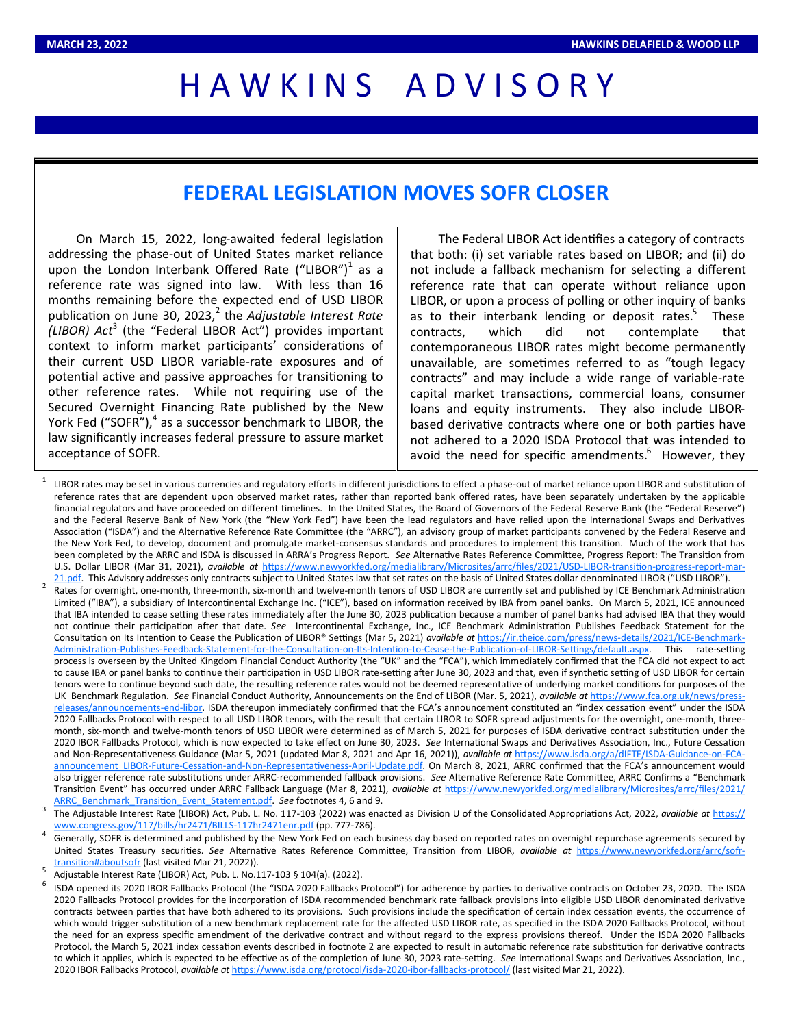## H A W K I N S A D V I S O R Y

## **FEDERAL LEGISLATION MOVES SOFR CLOSER**

On March 15, 2022, long-awaited federal legislation addressing the phase-out of United States market reliance upon the London Interbank Offered Rate ("LIBOR") $^1$  as a reference rate was signed into law. With less than 16 months remaining before the expected end of USD LIBOR publication on June 30, 2023,<sup>2</sup> the *Adjustable Interest Rate (LIBOR) Act*<sup>3</sup> (the "Federal LIBOR Act") provides important context to inform market participants' considerations of their current USD LIBOR variable-rate exposures and of potential active and passive approaches for transitioning to other reference rates. While not requiring use of the Secured Overnight Financing Rate published by the New York Fed ("SOFR"),<sup>4</sup> as a successor benchmark to LIBOR, the law significantly increases federal pressure to assure market acceptance of SOFR.

The Federal LIBOR Act identifies a category of contracts that both: (i) set variable rates based on LIBOR; and (ii) do not include a fallback mechanism for selecting a different reference rate that can operate without reliance upon LIBOR, or upon a process of polling or other inquiry of banks as to their interbank lending or deposit rates.<sup>5</sup> These contracts, which did not contemplate that contemporaneous LIBOR rates might become permanently unavailable, are sometimes referred to as "tough legacy contracts" and may include a wide range of variable-rate capital market transactions, commercial loans, consumer loans and equity instruments. They also include LIBORbased derivative contracts where one or both parties have not adhered to a 2020 ISDA Protocol that was intended to avoid the need for specific amendments.<sup>6</sup> However, they

- 1 LIBOR rates may be set in various currencies and regulatory efforts in different jurisdictions to effect a phase-out of market reliance upon LIBOR and substitution of reference rates that are dependent upon observed market rates, rather than reported bank offered rates, have been separately undertaken by the applicable financial regulators and have proceeded on different timelines. In the United States, the Board of Governors of the Federal Reserve Bank (the "Federal Reserve") and the Federal Reserve Bank of New York (the "New York Fed") have been the lead regulators and have relied upon the International Swaps and Derivatives Association ("ISDA") and the Alternative Reference Rate Committee (the "ARRC"), an advisory group of market participants convened by the Federal Reserve and the New York Fed, to develop, document and promulgate market-consensus standards and procedures to implement this transition. Much of the work that has been completed by the ARRC and ISDA is discussed in ARRA's Progress Report. *See* Alternative Rates Reference Committee, Progress Report: The Transition from U.S. Dollar LIBOR (Mar 31, 2021), *available at* [https://www.newyorkfed.org/medialibrary/Microsites/arrc/files/2021/USD](https://www.newyorkfed.org/medialibrary/Microsites/arrc/files/2021/USD-LIBOR-transition-progress-report-mar-21.pdf)-LIBOR-transition-progress-report-mar-[21.pdf.](https://www.newyorkfed.org/medialibrary/Microsites/arrc/files/2021/USD-LIBOR-transition-progress-report-mar-21.pdf) This Advisory addresses only contracts subject to United States law that set rates on the basis of United States dollar denominated LIBOR ("USD LIBOR"). 2 Rates for overnight, one-month, three-month, six-month and twelve-month tenors of USD LIBOR are currently set and published by ICE Benchmark Administration Limited ("IBA"), a subsidiary of Intercontinental Exchange Inc. ("ICE"), based on information received by IBA from panel banks. On March 5, 2021, ICE announced that IBA intended to cease setting these rates immediately after the June 30, 2023 publication because a number of panel banks had advised IBA that they would not continue their participation after that date. *See* Intercontinental Exchange, Inc., ICE Benchmark Administration Publishes Feedback Statement for the Consultation on Its Intention to Cease the Publication of LIBOR® Settings (Mar 5, 2021) *available at* [https://ir.theice.com/press/news](https://ir.theice.com/press/news-details/2021/ICE-Benchmark-Administration-Publishes-Feedback-Statement-for-the-Consultation-on-Its-Intention-to-Cease-the-Publication-of-LIBOR-Settings/default.aspx)-details/2021/ICE-Benchmark-Administration-Publishes-Feedback-Statement-for-the-Consultation-on-Its-Intention-to-Cease-the-Publication-of-LIBOR-[Settings/default.aspx.](https://ir.theice.com/press/news-details/2021/ICE-Benchmark-Administration-Publishes-Feedback-Statement-for-the-Consultation-on-Its-Intention-to-Cease-the-Publication-of-LIBOR-Settings/default.aspx) This rate-setting process is overseen by the United Kingdom Financial Conduct Authority (the "UK" and the "FCA"), which immediately confirmed that the FCA did not expect to act to cause IBA or panel banks to continue their participation in USD LIBOR rate-setting after June 30, 2023 and that, even if synthetic setting of USD LIBOR for certain tenors were to continue beyond such date, the resulting reference rates would not be deemed representative of underlying market conditions for purposes of the UK Benchmark Regulation. *See* Financial Conduct Authority, Announcements on the End of LIBOR (Mar. 5, 2021), *available at* [https://www.fca.org.uk/news/press](https://www.fca.org.uk/news/press-releases/announcements-end-libor)[releases/announcements](https://www.fca.org.uk/news/press-releases/announcements-end-libor)-end-libor. ISDA thereupon immediately confirmed that the FCA's announcement constituted an "index cessation event" under the ISDA 2020 Fallbacks Protocol with respect to all USD LIBOR tenors, with the result that certain LIBOR to SOFR spread adjustments for the overnight, one-month, threemonth, six-month and twelve-month tenors of USD LIBOR were determined as of March 5, 2021 for purposes of ISDA derivative contract substitution under the 2020 IBOR Fallbacks Protocol, which is now expected to take effect on June 30, 2023. *See* International Swaps and Derivatives Association, Inc., Future Cessation and Non-Representativeness Guidance (Mar 5, 2021 (updated Mar 8, 2021 and Apr 16, 2021)), *available at* [https://www.isda.org/a/dIFTE/ISDA](https://www.isda.org/a/dIFTE/ISDA-Guidance-on-FCA-announcement_LIBOR-Future-Cessation-and-Non-Representativeness-April-Update.pdf)-Guidance-on-FCA[announcement\\_LIBOR](https://www.isda.org/a/dIFTE/ISDA-Guidance-on-FCA-announcement_LIBOR-Future-Cessation-and-Non-Representativeness-April-Update.pdf)-Future-Cessation-and-Non-Representativeness-April-Update.pdf. On March 8, 2021, ARRC confirmed that the FCA's announcement would also trigger reference rate substitutions under ARRC-recommended fallback provisions. *See* Alternative Reference Rate Committee, ARRC Confirms a "Benchmark Transition Event" has occurred under ARRC Fallback Language (Mar 8, 2021), *available at* [https://www.newyorkfed.org/medialibrary/Microsites/arrc/files/2021/](https://www.newyorkfed.org/medialibrary/Microsites/arrc/files/2021/ARRC_Benchmark_Transition_Event_Statement.pdf) [ARRC\\_Benchmark\\_Transition\\_Event\\_Statement.pdf.](https://www.newyorkfed.org/medialibrary/Microsites/arrc/files/2021/ARRC_Benchmark_Transition_Event_Statement.pdf) *See* footnotes 4, 6 and 9.
- 3 The Adjustable Interest Rate (LIBOR) Act, Pub. L. No. 117-103 (2022) was enacted as Division U of the Consolidated Appropriations Act, 2022, *available at* [https://](https://www.congress.gov/117/bills/hr2471/BILLS-117hr2471enr.pdf) [www.congress.gov/117/bills/hr2471/BILLS](https://www.congress.gov/117/bills/hr2471/BILLS-117hr2471enr.pdf)-117hr2471enr.pdf (pp. 777-786).
- 4 Generally, SOFR is determined and published by the New York Fed on each business day based on reported rates on overnight repurchase agreements secured by United States Treasury securities. *See* Alternative Rates Reference Committee, Transition from LIBOR, *available at* [https://www.newyorkfed.org/arrc/sofr](https://www.newyorkfed.org/arrc/sofr-transition#aboutsofr)[transition#aboutsofr](https://www.newyorkfed.org/arrc/sofr-transition#aboutsofr) (last visited Mar 21, 2022)). 5
- Adjustable Interest Rate (LIBOR) Act, Pub. L. No.117-103 § 104(a). (2022).
- 6 ISDA opened its 2020 IBOR Fallbacks Protocol (the "ISDA 2020 Fallbacks Protocol") for adherence by parties to derivative contracts on October 23, 2020. The ISDA 2020 Fallbacks Protocol provides for the incorporation of ISDA recommended benchmark rate fallback provisions into eligible USD LIBOR denominated derivative contracts between parties that have both adhered to its provisions. Such provisions include the specification of certain index cessation events, the occurrence of which would trigger substitution of a new benchmark replacement rate for the affected USD LIBOR rate, as specified in the ISDA 2020 Fallbacks Protocol, without the need for an express specific amendment of the derivative contract and without regard to the express provisions thereof. Under the ISDA 2020 Fallbacks Protocol, the March 5, 2021 index cessation events described in footnote 2 are expected to result in automatic reference rate substitution for derivative contracts to which it applies, which is expected to be effective as of the completion of June 30, 2023 rate-setting. *See* International Swaps and Derivatives Association, Inc., 2020 IBOR Fallbacks Protocol, *available at* [https://www.isda.org/protocol/isda](https://www.isda.org/protocol/isda-2020-ibor-fallbacks-protocol/)-2020-ibor-fallbacks-protocol/ (last visited Mar 21, 2022).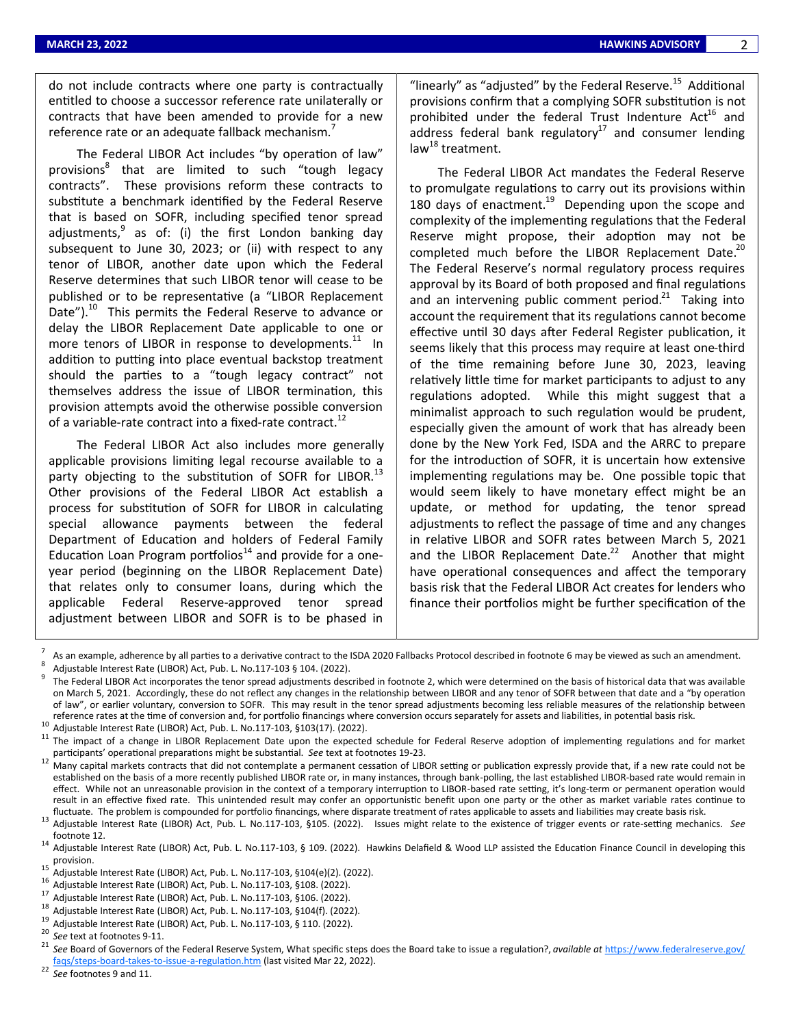do not include contracts where one party is contractually entitled to choose a successor reference rate unilaterally or contracts that have been amended to provide for a new reference rate or an adequate fallback mechanism.

The Federal LIBOR Act includes "by operation of law" provisions<sup>8</sup> that are limited to such "tough legacy contracts". These provisions reform these contracts to substitute a benchmark identified by the Federal Reserve that is based on SOFR, including specified tenor spread adjustments,<sup>9</sup> as of: (i) the first London banking day subsequent to June 30, 2023; or (ii) with respect to any tenor of LIBOR, another date upon which the Federal Reserve determines that such LIBOR tenor will cease to be published or to be representative (a "LIBOR Replacement Date").<sup>10</sup> This permits the Federal Reserve to advance or delay the LIBOR Replacement Date applicable to one or more tenors of LIBOR in response to developments.<sup>11</sup> In addition to putting into place eventual backstop treatment should the parties to a "tough legacy contract" not themselves address the issue of LIBOR termination, this provision attempts avoid the otherwise possible conversion of a variable-rate contract into a fixed-rate contract.<sup>12</sup>

The Federal LIBOR Act also includes more generally applicable provisions limiting legal recourse available to a party objecting to the substitution of SOFR for LIBOR.<sup>13</sup> Other provisions of the Federal LIBOR Act establish a process for substitution of SOFR for LIBOR in calculating special allowance payments between the federal Department of Education and holders of Federal Family Education Loan Program portfolios<sup>14</sup> and provide for a oneyear period (beginning on the LIBOR Replacement Date) that relates only to consumer loans, during which the applicable Federal Reserve-approved tenor spread adjustment between LIBOR and SOFR is to be phased in

"linearly" as "adjusted" by the Federal Reserve. $^{15}$  Additional provisions confirm that a complying SOFR substitution is not prohibited under the federal Trust Indenture  $Act^{16}$  and address federal bank regulatory<sup>17</sup> and consumer lending law $^{18}$  treatment.

The Federal LIBOR Act mandates the Federal Reserve to promulgate regulations to carry out its provisions within 180 days of enactment.<sup>19</sup> Depending upon the scope and complexity of the implementing regulations that the Federal Reserve might propose, their adoption may not be completed much before the LIBOR Replacement Date. $^{20}$ The Federal Reserve's normal regulatory process requires approval by its Board of both proposed and final regulations and an intervening public comment period. $21$  Taking into account the requirement that its regulations cannot become effective until 30 days after Federal Register publication, it seems likely that this process may require at least one-third of the time remaining before June 30, 2023, leaving relatively little time for market participants to adjust to any regulations adopted. While this might suggest that a minimalist approach to such regulation would be prudent, especially given the amount of work that has already been done by the New York Fed, ISDA and the ARRC to prepare for the introduction of SOFR, it is uncertain how extensive implementing regulations may be. One possible topic that would seem likely to have monetary effect might be an update, or method for updating, the tenor spread adjustments to reflect the passage of time and any changes in relative LIBOR and SOFR rates between March 5, 2021 and the LIBOR Replacement Date. $2^2$  Another that might have operational consequences and affect the temporary basis risk that the Federal LIBOR Act creates for lenders who finance their portfolios might be further specification of the

<sup>22</sup> *See* footnotes 9 and 11.

<sup>7</sup> As an example, adherence by all parties to a derivative contract to the ISDA 2020 Fallbacks Protocol described in footnote 6 may be viewed as such an amendment. 8 Adjustable Interest Rate (LIBOR) Act, Pub. L. No.117-103 § 104. (2022).

<sup>9</sup> The Federal LIBOR Act incorporates the tenor spread adjustments described in footnote 2, which were determined on the basis of historical data that was available on March 5, 2021. Accordingly, these do not reflect any changes in the relationship between LIBOR and any tenor of SOFR between that date and a "by operation of law", or earlier voluntary, conversion to SOFR. This may result in the tenor spread adjustments becoming less reliable measures of the relationship between reference rates at the time of conversion and, for portfolio financings where conversion occurs separately for assets and liabilities, in potential basis risk.

<sup>10</sup> Adjustable Interest Rate (LIBOR) Act, Pub. L. No.117-103, §103(17). (2022).

The impact of a change in LIBOR Replacement Date upon the expected schedule for Federal Reserve adoption of implementing regulations and for market participants' operational preparations might be substantial. *See* text at footnotes 19-23.

<sup>&</sup>lt;sup>12</sup> Many capital markets contracts that did not contemplate a permanent cessation of LIBOR setting or publication expressly provide that, if a new rate could not be established on the basis of a more recently published LIBOR rate or, in many instances, through bank-polling, the last established LIBOR-based rate would remain in effect. While not an unreasonable provision in the context of a temporary interruption to LIBOR-based rate setting, it's long-term or permanent operation would result in an effective fixed rate. This unintended result may confer an opportunistic benefit upon one party or the other as market variable rates continue to fluctuate. The problem is compounded for portfolio financings, where disparate treatment of rates applicable to assets and liabilities may create basis risk.

<sup>13</sup> Adjustable Interest Rate (LIBOR) Act, Pub. L. No.117-103, §105. (2022). Issues might relate to the existence of trigger events or rate-setting mechanics. *See* footnote 12.

<sup>&</sup>lt;sup>14</sup> Adjustable Interest Rate (LIBOR) Act, Pub. L. No.117-103, § 109. (2022). Hawkins Delafield & Wood LLP assisted the Education Finance Council in developing this provision.

<sup>&</sup>lt;sup>15</sup> Adjustable Interest Rate (LIBOR) Act, Pub. L. No.117-103, §104(e)(2). (2022).<br><sup>16</sup> Adjustable Interest Rate (UBOR) Act, Rub, L. No. 117, 103, §108, (2023).

<sup>&</sup>lt;sup>16</sup> Adjustable Interest Rate (LIBOR) Act, Pub. L. No.117-103, §108. (2022).<br><sup>17</sup> Adjustable Literature (UPOR) Act, R. b. J. No. 447,403,5406. (2022).

<sup>&</sup>lt;sup>17</sup> Adjustable Interest Rate (LIBOR) Act, Pub. L. No.117-103, §106. (2022).<br><sup>18</sup> Adjustable Interest Rate (LIBOR) Act, Rub. L. No.117-103, §104(f), (2022).

<sup>18</sup> Adjustable Interest Rate (LIBOR) Act, Pub. L. No.117-103, §104(f). (2022).

<sup>&</sup>lt;sup>19</sup> Adjustable Interest Rate (LIBOR) Act, Pub. L. No.117-103, § 110. (2022).

<sup>&</sup>lt;sup>20</sup> *See* text at footnotes 9-11.

See Board of Governors of the Federal Reserve System, What specific steps does the Board take to issue a regulation?, *available at* [https://www.federalreserve.gov/](https://www.federalreserve.gov/faqs/steps-board-takes-to-issue-a-regulation.htm) faqs/steps-board-takes-to-issue-a-[regulation.htm](https://www.federalreserve.gov/faqs/steps-board-takes-to-issue-a-regulation.htm) (last visited Mar 22, 2022).